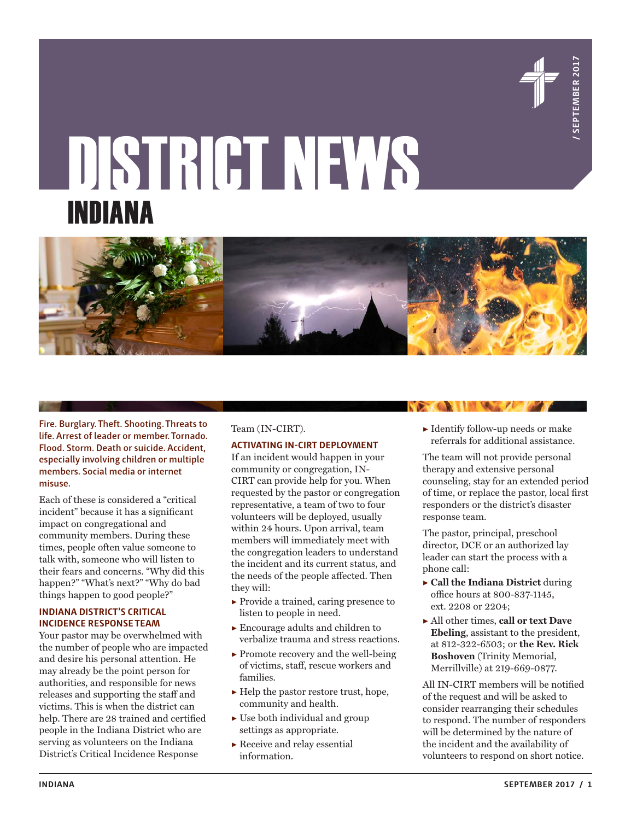

# DISTRICT NEWS INDIANA



**Fire. Burglary. Theft. Shooting. Threats to life. Arrest of leader or member. Tornado. Flood. Storm. Death or suicide. Accident, especially involving children or multiple members. Social media or internet misuse.**

Each of these is considered a "critical incident" because it has a significant impact on congregational and community members. During these times, people often value someone to talk with, someone who will listen to their fears and concerns. "Why did this happen?" "What's next?" "Why do bad things happen to good people?"

### **INDIANA DISTRICT'S CRITICAL INCIDENCE RESPONSE TEAM**

Your pastor may be overwhelmed with the number of people who are impacted and desire his personal attention. He may already be the point person for authorities, and responsible for news releases and supporting the staff and victims. This is when the district can help. There are 28 trained and certified people in the Indiana District who are serving as volunteers on the Indiana District's Critical Incidence Response

#### Team (IN-CIRT).

#### **ACTIVATING IN-CIRT DEPLOYMENT**

If an incident would happen in your community or congregation, IN-CIRT can provide help for you. When requested by the pastor or congregation representative, a team of two to four volunteers will be deployed, usually within 24 hours. Upon arrival, team members will immediately meet with the congregation leaders to understand the incident and its current status, and the needs of the people affected. Then they will:

- ▶ Provide a trained, caring presence to listen to people in need.
- $\blacktriangleright$  Encourage adults and children to verbalize trauma and stress reactions.
- $\blacktriangleright$  Promote recovery and the well-being of victims, staff, rescue workers and families.
- ▶ Help the pastor restore trust, hope, community and health.
- $\triangleright$  Use both individual and group settings as appropriate.
- ▶ Receive and relay essential information.

▶ Identify follow-up needs or make referrals for additional assistance.

The team will not provide personal therapy and extensive personal counseling, stay for an extended period of time, or replace the pastor, local first responders or the district's disaster response team.

The pastor, principal, preschool director, DCE or an authorized lay leader can start the process with a phone call:

- ▶ **Call the Indiana District** during office hours at 800-837-1145, ext. 2208 or 2204;
- ▶ All other times, **call or text Dave Ebeling**, assistant to the president, at 812-322-6503; or **the Rev. Rick Boshoven** (Trinity Memorial, Merrillville) at 219-669-0877.

All IN-CIRT members will be notified of the request and will be asked to consider rearranging their schedules to respond. The number of responders will be determined by the nature of the incident and the availability of volunteers to respond on short notice.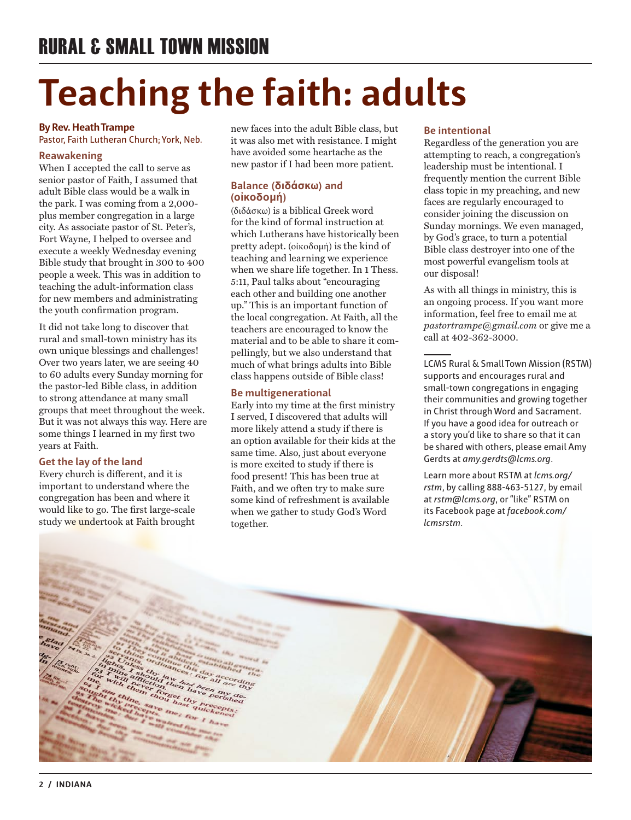# **Teaching the faith: adults**

### **By Rev. Heath Trampe**

Pastor, Faith Lutheran Church; York, Neb.

### **Reawakening**

When I accepted the call to serve as senior pastor of Faith, I assumed that adult Bible class would be a walk in the park. I was coming from a 2,000 plus member congregation in a large city. As associate pastor of St. Peter's, Fort Wayne, I helped to oversee and execute a weekly Wednesday evening Bible study that brought in 300 to 400 people a week. This was in addition to teaching the adult-information class for new members and administrating the youth confirmation program.

It did not take long to discover that rural and small-town ministry has its own unique blessings and challenges! Over two years later, we are seeing 40 to 60 adults every Sunday morning for the pastor-led Bible class, in addition to strong attendance at many small groups that meet throughout the week. But it was not always this way. Here are some things I learned in my first two years at Faith.

### **Get the lay of the land**

Every church is different, and it is important to understand where the congregation has been and where it would like to go. The first large-scale study we undertook at Faith brought

new faces into the adult Bible class, but it was also met with resistance. I might have avoided some heartache as the new pastor if I had been more patient.

### **Balance (διδάσκω) and (οἰκοδομή)**

(διδάσκω) is a biblical Greek word for the kind of formal instruction at which Lutherans have historically been pretty adept. (οἰκοδομή) is the kind of teaching and learning we experience when we share life together. In 1 Thess. 5:11, Paul talks about "encouraging each other and building one another up." This is an important function of the local congregation. At Faith, all the teachers are encouraged to know the material and to be able to share it compellingly, but we also understand that much of what brings adults into Bible class happens outside of Bible class!

### **Be multigenerational**

Early into my time at the first ministry I served, I discovered that adults will more likely attend a study if there is an option available for their kids at the same time. Also, just about everyone is more excited to study if there is food present! This has been true at Faith, and we often try to make sure some kind of refreshment is available when we gather to study God's Word together.

### **Be intentional**

Regardless of the generation you are attempting to reach, a congregation's leadership must be intentional. I frequently mention the current Bible class topic in my preaching, and new faces are regularly encouraged to consider joining the discussion on Sunday mornings. We even managed, by God's grace, to turn a potential Bible class destroyer into one of the most powerful evangelism tools at our disposal!

As with all things in ministry, this is an ongoing process. If you want more information, feel free to email me at *pastortrampe@gmail.com* or give me a call at 402-362-3000.

LCMS Rural & Small Town Mission (RSTM) supports and encourages rural and small-town congregations in engaging their communities and growing together in Christ through Word and Sacrament. If you have a good idea for outreach or a story you'd like to share so that it can be shared with others, please email Amy Gerdts at *amy.gerdts@lcms.org*.

Learn more about RSTM at *lcms.org/ rstm*, by calling 888-463-5127, by email at *rstm@lcms.org*, or "like" RSTM on its Facebook page at *facebook.com/ lcmsrstm*.

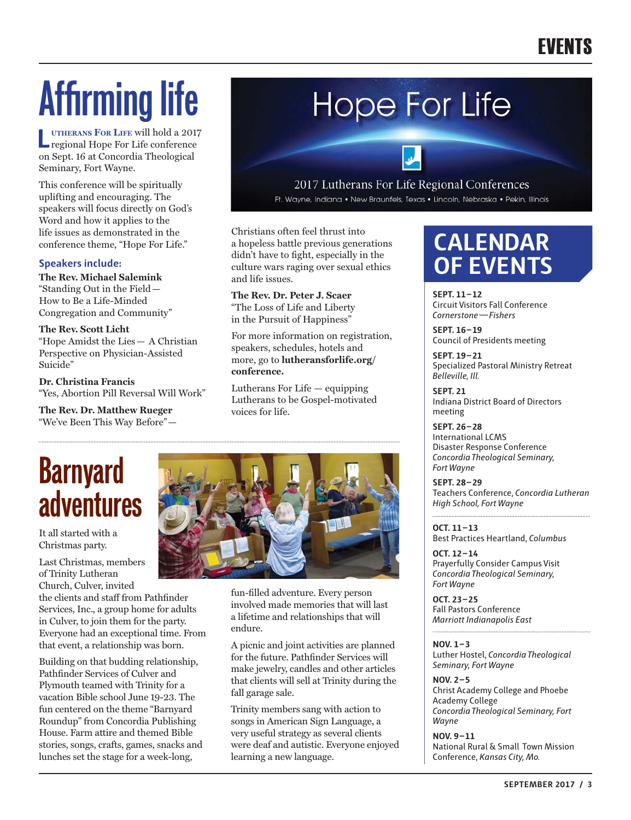# **Affirming life**

**L utherans For Life** will hold a 2017 regional Hope For Life conference on Sept. 16 at Concordia Theological Seminary, Fort Wayne.

This conference will be spiritually uplifting and encouraging. The speakers will focus directly on God's Word and how it applies to the life issues as demonstrated in the conference theme, "Hope For Life."

### **Speakers include:**

**The Rev. Michael Salemink** "Standing Out in the Field— How to Be a Life-Minded Congregation and Community"

**The Rev. Scott Licht** "Hope Amidst the Lies— A Christian Perspective on Physician-Assisted Suicide"

**Dr. Christina Francis** "Yes, Abortion Pill Reversal Will Work"

**The Rev. Dr. Matthew Rueger** "We've Been This Way Before"—

# **Hope For Life**

### 2017 Lutherans For Life Regional Conferences

Ft. Wayne, Indiana • New Braunfels, Texas • Lincoln, Nebraska • Pekin, Illinois

Christians often feel thrust into a hopeless battle previous generations didn't have to fight, especially in the culture wars raging over sexual ethics and life issues.

**The Rev. Dr. Peter J. Scaer** "The Loss of Life and Liberty in the Pursuit of Happiness"

For more information on registration, speakers, schedules, hotels and more, go to **lutheransforlife.org/ conference.**

Lutherans For Life — equipping Lutherans to be Gospel-motivated voices for life.

## **Barnyard adventures**

It all started with a Christmas party.

Last Christmas, members of Trinity Lutheran Church, Culver, invited

the clients and staff from Pathfinder Services, Inc., a group home for adults in Culver, to join them for the party. Everyone had an exceptional time. From that event, a relationship was born.

Building on that budding relationship, Pathfinder Services of Culver and Plymouth teamed with Trinity for a vacation Bible school June 19-23. The fun centered on the theme "Barnyard Roundup" from Concordia Publishing House. Farm attire and themed Bible stories, songs, crafts, games, snacks and lunches set the stage for a week-long,



fun-filled adventure. Every person involved made memories that will last a lifetime and relationships that will endure.

A picnic and joint activities are planned for the future. Pathfinder Services will make jewelry, candles and other articles that clients will sell at Trinity during the fall garage sale.

Trinity members sang with action to songs in American Sign Language, a very useful strategy as several clients were deaf and autistic. Everyone enjoyed learning a new language.

### **CALENDAR OF EVENTS**

**SEPT. 11–12** Circuit Visitors Fall Conference *Cornerstone — Fishers*

**SEPT. 16–19** Council of Presidents meeting

**SEPT. 19–21** Specialized Pastoral Ministry Retreat *Belleville, Ill.*

**SEPT. 21** Indiana District Board of Directors meeting

**SEPT. 26–28** International LCMS Disaster Response Conference *Concordia Theological Seminary, Fort Wayne*

**SEPT. 28–29** Teachers Conference, *Concordia Lutheran High School, Fort Wayne*

**OCT. 11–13** Best Practices Heartland, *Columbus*

**OCT. 12–14** Prayerfully Consider Campus Visit *Concordia Theological Seminary, Fort Wayne*

**OCT. 23–25** Fall Pastors Conference *Marriott Indianapolis East*

**NOV. 1–3**

Luther Hostel, *Concordia Theological Seminary, Fort Wayne*

**NOV. 2–5** Christ Academy College and Phoebe Academy College *Concordia Theological Seminary, Fort Wayne*

**NOV. 9–11** National Rural & Small Town Mission Conference, *Kansas City, Mo.*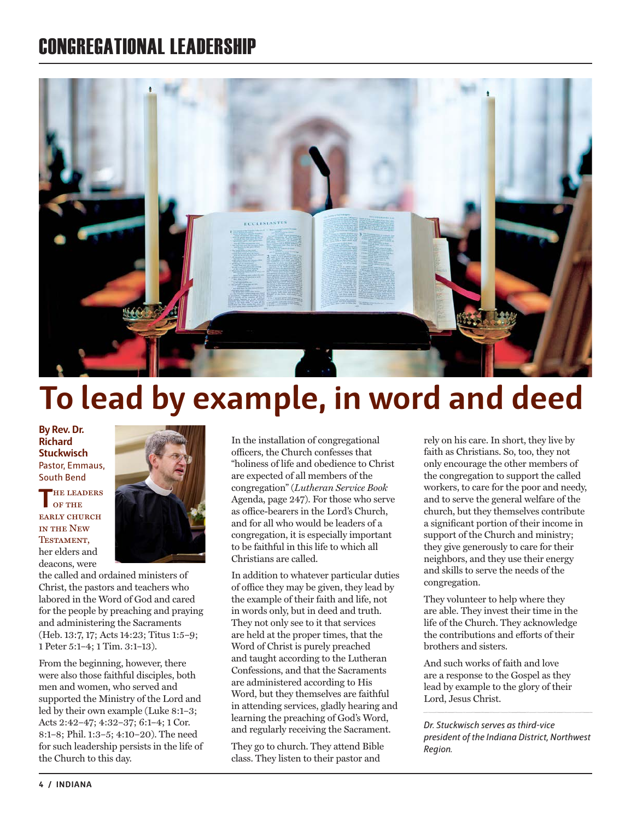### CONGREGATIONAL LEADERSHIP



## **To lead by example, in word and deed**

**By Rev. Dr. Richard Stuckwisch** Pastor, Emmaus, South Bend

**THE LEADERS** of the early church in the New **TESTAMENT** her elders and deacons, were



the called and ordained ministers of Christ, the pastors and teachers who labored in the Word of God and cared for the people by preaching and praying and administering the Sacraments (Heb. 13:7, 17; Acts 14:23; Titus 1:5–9; 1 Peter 5:1–4; 1 Tim. 3:1–13).

From the beginning, however, there were also those faithful disciples, both men and women, who served and supported the Ministry of the Lord and led by their own example (Luke 8:1–3; Acts 2:42–47; 4:32–37; 6:1–4; 1 Cor. 8:1–8; Phil. 1:3–5; 4:10–20). The need for such leadership persists in the life of the Church to this day.

In the installation of congregational officers, the Church confesses that "holiness of life and obedience to Christ are expected of all members of the congregation" (*Lutheran Service Book* Agenda, page 247). For those who serve as office-bearers in the Lord's Church, and for all who would be leaders of a congregation, it is especially important to be faithful in this life to which all Christians are called.

In addition to whatever particular duties of office they may be given, they lead by the example of their faith and life, not in words only, but in deed and truth. They not only see to it that services are held at the proper times, that the Word of Christ is purely preached and taught according to the Lutheran Confessions, and that the Sacraments are administered according to His Word, but they themselves are faithful in attending services, gladly hearing and learning the preaching of God's Word, and regularly receiving the Sacrament.

They go to church. They attend Bible class. They listen to their pastor and

rely on his care. In short, they live by faith as Christians. So, too, they not only encourage the other members of the congregation to support the called workers, to care for the poor and needy, and to serve the general welfare of the church, but they themselves contribute a significant portion of their income in support of the Church and ministry; they give generously to care for their neighbors, and they use their energy and skills to serve the needs of the congregation.

They volunteer to help where they are able. They invest their time in the life of the Church. They acknowledge the contributions and efforts of their brothers and sisters.

And such works of faith and love are a response to the Gospel as they lead by example to the glory of their Lord, Jesus Christ.

*Dr. Stuckwisch serves as third-vice president of the Indiana District, Northwest Region.*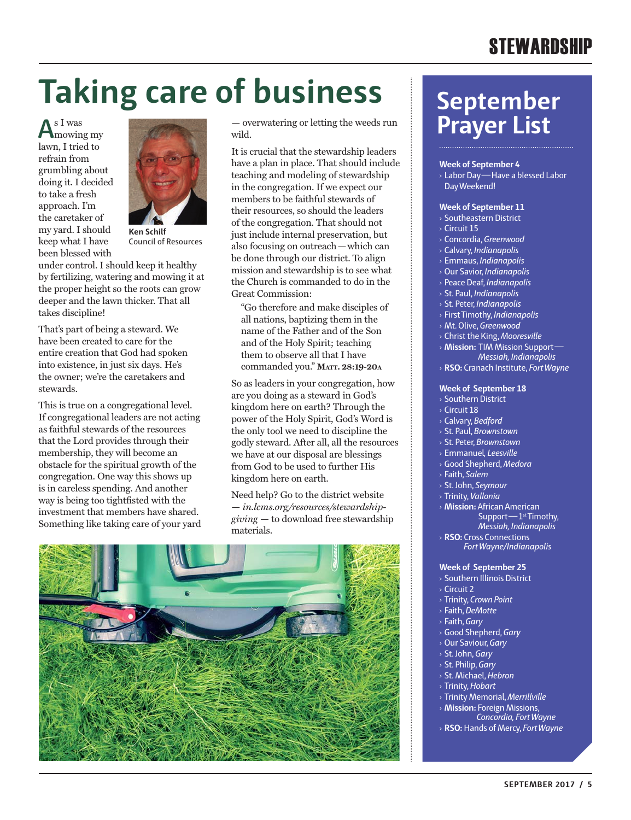# **Taking care of business**

**A**s I was mowing my lawn, I tried to refrain from grumbling about doing it. I decided to take a fresh approach. I'm the caretaker of my yard. I should keep what I have been blessed with



Council of Resources

under control. I should keep it healthy by fertilizing, watering and mowing it at the proper height so the roots can grow deeper and the lawn thicker. That all takes discipline!

That's part of being a steward. We have been created to care for the entire creation that God had spoken into existence, in just six days. He's the owner; we're the caretakers and stewards.

This is true on a congregational level. If congregational leaders are not acting as faithful stewards of the resources that the Lord provides through their membership, they will become an obstacle for the spiritual growth of the congregation. One way this shows up is in careless spending. And another way is being too tightfisted with the investment that members have shared. Something like taking care of your yard

— overwatering or letting the weeds run wild.

It is crucial that the stewardship leaders have a plan in place. That should include teaching and modeling of stewardship in the congregation. If we expect our members to be faithful stewards of their resources, so should the leaders of the congregation. That should not just include internal preservation, but also focusing on outreach—which can be done through our district. To align mission and stewardship is to see what the Church is commanded to do in the Great Commission:

"Go therefore and make disciples of all nations, baptizing them in the name of the Father and of the Son and of the Holy Spirit; teaching them to observe all that I have commanded you." **Matt. 28:19-20a**

So as leaders in your congregation, how are you doing as a steward in God's kingdom here on earth? Through the power of the Holy Spirit, God's Word is the only tool we need to discipline the godly steward. After all, all the resources we have at our disposal are blessings from God to be used to further His kingdom here on earth.

Need help? Go to the district website — *in.lcms.org/resources/stewardshipgiving* — to download free stewardship materials.



### **September Prayer List**

### **Week of September 4**

› Labor Day—Have a blessed Labor Day Weekend!

#### **Week of September 11**

- › Southeastern District
- › Circuit 15
- › Concordia, *Greenwood*
- › Calvary, *Indianapolis*
- › Emmaus, *Indianapolis*
- › Our Savior, *Indianapolis*
- › Peace Deaf, *Indianapolis*
- › St. Paul, *Indianapolis*
- › St. Peter, *Indianapolis*
- › First Timothy, *Indianapolis*
- › Mt. Olive, *Greenwood*
- › Christ the King, *Mooresville*
- › **Mission:** TIM Mission Support— *Messiah, Indianapolis*
- › **RSO:** Cranach Institute, *Fort Wayne*

#### **Week of September 18**

- › Southern District
- › Circuit 18
- › Calvary, *Bedford*
- › St. Paul, *Brownstown*
- › St. Peter, *Brownstown*
- › Emmanuel*, Leesville*
- › Good Shepherd, *Medora*
- › Faith, *Salem*
- › St. John, *Seymour*
- › Trinity, *Vallonia*
- › **Mission:** African American Support—1st Timothy, *Messiah, Indianapolis*
- › **RSO:** Cross Connections *Fort Wayne/Indianapolis*

#### **Week of September 25**

- › Southern Illinois District
- $\overline{\phantom{a}}$  Circuit 2
- › Trinity, *Crown Point*
- › Faith, *DeMotte*
- › Faith, *Gary*
- › Good Shepherd, *Gary*
- › Our Saviour, *Gary*
- › St. John, *Gary*
- › St. Philip, *Gary*
- › St. Michael, *Hebron*
- › Trinity, *Hobart*
- › Trinity Memorial, *Merrillville*
- › **Mission:** Foreign Missions, *Concordia, Fort Wayne*
- › **RSO:** Hands of Mercy, *Fort Wayne*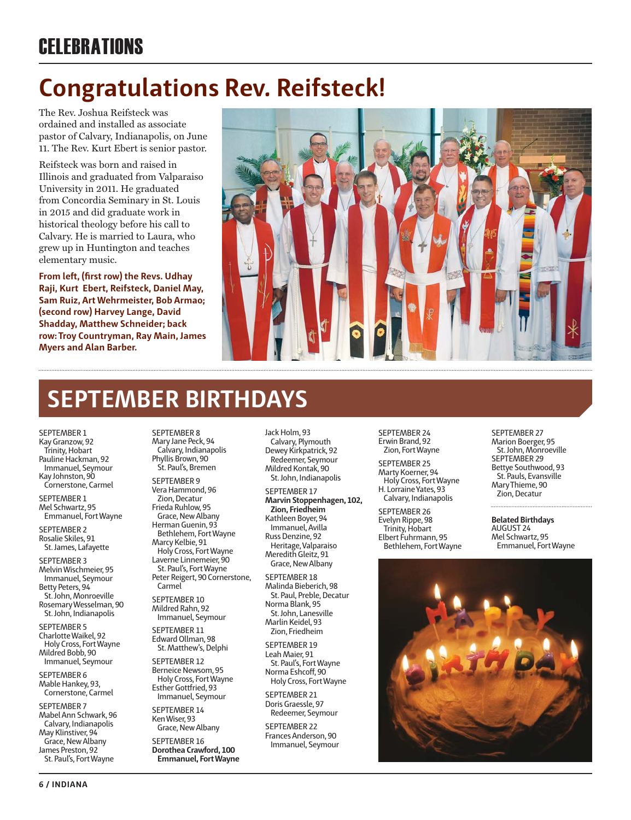### **CELEBRATIONS**

### **Congratulations Rev. Reifsteck!**

The Rev. Joshua Reifsteck was ordained and installed as associate pastor of Calvary, Indianapolis, on June 11. The Rev. Kurt Ebert is senior pastor.

Reifsteck was born and raised in Illinois and graduated from Valparaiso University in 2011. He graduated from Concordia Seminary in St. Louis in 2015 and did graduate work in historical theology before his call to Calvary. He is married to Laura, who grew up in Huntington and teaches elementary music.

**From left, (first row) the Revs. Udhay Raji, Kurt Ebert, Reifsteck, Daniel May, Sam Ruiz, Art Wehrmeister, Bob Armao; (second row) Harvey Lange, David Shadday, Matthew Schneider; back row: Troy Countryman, Ray Main, James Myers and Alan Barber.**



### **SEPTEMBER BIRTHDAYS**

SEPTEMBER 1 Kay Granzow, 92 Trinity, Hobart Pauline Hackman, 92 Immanuel, Seymour Kay Johnston, 90 Cornerstone, Carmel

SEPTEMBER 1 Mel Schwartz, 95 Emmanuel, Fort Wayne

SEPTEMBER 2 Rosalie Skiles, 91 St. James, Lafayette

SEPTEMBER 3 Melvin Wischmeier, 95 Immanuel, Seymour Betty Peters, 94 St. John, Monroeville Rosemary Wesselman, 90 St. John, Indianapolis

SEPTEMBER 5 Charlotte Waikel, 92 Holy Cross, Fort Wayne Mildred Bobb, 90 Immanuel, Seymour

SEPTEMBER 6 Mable Hankey, 93, Cornerstone, Carmel

SEPTEMBER 7 Mabel Ann Schwark, 96 Calvary, Indianapolis May Klinstiver, 94 Grace, New Albany James Preston, 92 St. Paul's, Fort Wayne

SEPTEMBER 8 Mary Jane Peck, 94 Calvary, Indianapolis Phyllis Brown, 90 St. Paul's, Bremen

SEPTEMBER 9 Vera Hammond, 96 Zion, Decatur Frieda Ruhlow, 95 Grace, New Albany

Herman Guenin, 93 Bethlehem, Fort Wayne Marcy Kelbie, 91 Holy Cross, Fort Wayne

Laverne Linnemeier, 90 St. Paul's, Fort Wayne Peter Reigert, 90 Cornerstone, Carmel

SEPTEMBER 10 Mildred Rahn, 92 Immanuel, Seymour

SEPTEMBER 11 Edward Ollman, 98 St. Matthew's, Delphi

SEPTEMBER 12 Berneice Newsom, 95 Holy Cross, Fort Wayne Esther Gottfried, 93 Immanuel, Seymour

SEPTEMBER 14 Ken Wiser, 93 Grace, New Albany

SEPTEMBER 16 **Dorothea Crawford, 100 Emmanuel, Fort Wayne** Jack Holm, 93 Calvary, Plymouth Dewey Kirkpatrick, 92 Redeemer, Seymour Mildred Kontak, 90 St. John, Indianapolis

SEPTEMBER 17 **Marvin Stoppenhagen, 102, Zion, Friedheim** Kathleen Boyer, 94 Immanuel, Avilla Russ Denzine, 92 Heritage, Valparaiso Meredith Gleitz, 91 Grace, New Albany

SEPTEMBER 18 Malinda Bieberich, 98 St. Paul, Preble, Decatur Norma Blank, 95 St. John, Lanesville Marlin Keidel, 93 Zion, Friedheim

SEPTEMBER 19 Leah Maier, 91 St. Paul's, Fort Wayne Norma Eshcoff, 90 Holy Cross, Fort Wayne

SEPTEMBER 21 Doris Graessle, 97 Redeemer, Seymour

SEPTEMBER 22 Frances Anderson, 90 Immanuel, Seymour SEPTEMBER 24 Erwin Brand, 92 Zion, Fort Wayne

SEPTEMBER 25 Marty Koerner, 94 Holy Cross, Fort Wayne H. Lorraine Yates, 93 Calvary, Indianapolis

SEPTEMBER 26 Evelyn Rippe, 98 Trinity, Hobart Elbert Fuhrmann, 95 Bethlehem, Fort Wayne

SEPTEMBER 27 Marion Boerger, 95 St. John, Monroeville SEPTEMBER 29 Bettye Southwood, 93 St. Pauls, Evansville Mary Thieme, 90 Zion, Decatur

**Belated Birthdays** AUGUST 24 Mel Schwartz, 95 Emmanuel, Fort Wayne

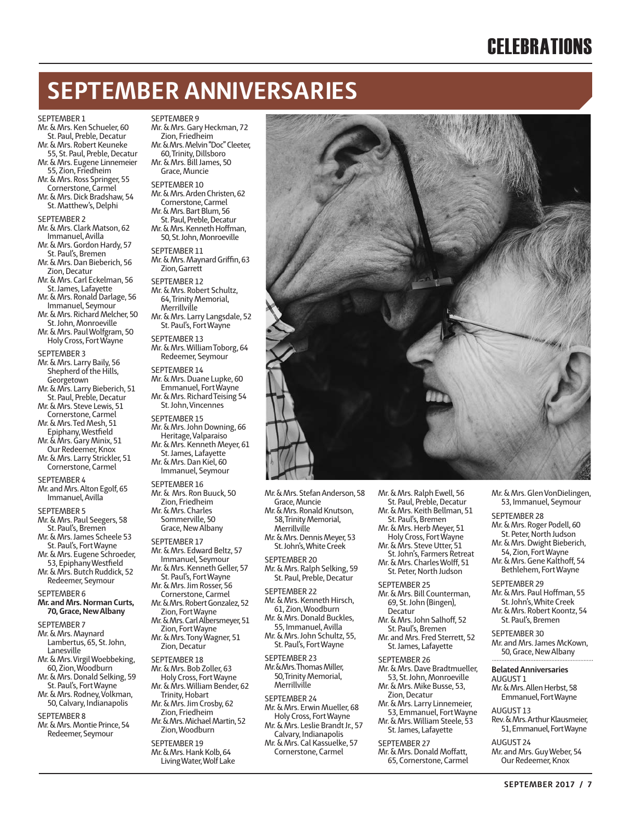### **CELEBRATIONS**

### **SEPTEMBER ANNIVERSARIES**

SEPTEMBER 9

#### SEPTEMBER 1

Mr. & Mrs. Ken Schueler, 60 St. Paul, Preble, Decatur

Mr. & Mrs. Robert Keuneke 55, St. Paul, Preble, Decatur

Mr. & Mrs. Eugene Linnemeier

- 55, Zion, Friedheim Mr. & Mrs. Ross Springer, 55
- Cornerstone, Carmel Mr. & Mrs. Dick Bradshaw, 54
- St. Matthew's, Delphi

SEPTEMBER 2

Mr. & Mrs. Clark Matson, 62 Immanuel, Avilla

Mr. & Mrs. Gordon Hardy, 57 St. Paul's, Bremen

Mr. & Mrs. Dan Bieberich, 56 Zion, Decatur

Mr. & Mrs. Carl Eckelman, 56

St. James, Lafayette Mr. & Mrs. Ronald Darlage, 56

Immanuel, Seymour Mr. & Mrs. Richard Melcher, 50

- St. John, Monroeville
- Mr. & Mrs. Paul Wolfgram, 50 Holy Cross, Fort Wayne

SEPTEMBER 3

Mr. & Mrs. Larry Baily, 56 Shepherd of the Hills, Georgetown Mr. & Mrs. Larry Bieberich, 51 St. Paul, Preble, Decatur Mr. & Mrs. Steve Lewis, 51 Cornerstone, Carmel Mr. & Mrs. Ted Mesh, 51 Epiphany, Westfield

- Mr. & Mrs. Gary Minix, 51 Our Redeemer, Knox
- Mr. & Mrs. Larry Strickler, 51 Cornerstone, Carmel

SEPTEMBER 4

Mr. and Mrs. Alton Egolf, 65 Immanuel, Avilla

SEPTEMBER 5

- Mr. & Mrs. Paul Seegers, 58
- St. Paul's, Bremen Mr. & Mrs. James Scheele 53
- St. Paul's, Fort Wayne
- Mr. & Mrs. Eugene Schroeder,
- 53, Epiphany Westfield

Mr. & Mrs. Butch Ruddick, 52 Redeemer, Seymour

SEPTEMBER 6

**Mr. and Mrs. Norman Curts, 70, Grace, New Albany**

SEPTEMBER 7

- Mr. & Mrs. Maynard Lambertus, 65, St. John, Lanesville Mr. & Mrs. Virgil Woebbeking, 60, Zion, Woodburn Mr. & Mrs. Donald Selking, 59
- St. Paul's, Fort Wayne
- Mr. & Mrs. Rodney, Volkman, 50, Calvary, Indianapolis

SEPTEMBER 8

Mr. & Mrs. Montie Prince, 54 Redeemer, Seymour

Living Water, Wolf Lake

| Mr. & Mrs. Gary Heckman, 72<br>Zion, Friedheim<br>Mr. & Mrs. Melvin "Doc" Cleeter,<br>60, Trinity, Dillsboro<br>Mr. & Mrs. Bill James, 50<br>Grace, Muncie                                |  |
|-------------------------------------------------------------------------------------------------------------------------------------------------------------------------------------------|--|
| SEPTEMBER 10<br>Mr. & Mrs. Arden Christen, 62<br>Cornerstone, Carmel<br>Mr. & Mrs. Bart Blum, 56<br>St. Paul, Preble, Decatur<br>Mr. & Mrs. Kenneth Hoffman,<br>50, St. John, Monroeville |  |
| SEPTEMBER 11<br>Mr. & Mrs. Maynard Griffin, 63<br>Zion, Garrett                                                                                                                           |  |
| SEPTEMBER 12<br>Mr. & Mrs. Robert Schultz,<br>64. Trinity Memorial,<br>Merrillville                                                                                                       |  |
| Mr. & Mrs. Larry Langsdale, 52<br>St. Paul's, Fort Wayne                                                                                                                                  |  |
| SEPTEMBER 13<br>Mr. & Mrs. William Toborg, 64<br>Redeemer, Seymour                                                                                                                        |  |

SEPTEMBER 14 Mr. & Mrs. Duane Lupke, 60 Emmanuel, Fort Wayne Mr. & Mrs. Richard Teising 54 St. John, Vincennes

SEPTEMBER 15 Mr. & Mrs. John Downing, 66 Heritage, Valparaiso Mr. & Mrs. Kenneth Meyer, 61

St. James, Lafayette Mr. & Mrs. Dan Kiel, 60 Immanuel, Seymour

SEPTEMBER 16 Mr. & Mrs. Ron Buuck, 50 Zion, Friedheim

Mr. & Mrs. Charles Sommerville, 50 Grace, New Albany

#### SEPTEMBER 17

Mr. & Mrs. Edward Beltz, 57 Immanuel, Seymour Mr. & Mrs. Kenneth Geller, 57 St. Paul's, Fort Wayne Mr. & Mrs. Jim Rosser, 56 Cornerstone, Carmel Mr. & Mrs. Robert Gonzalez, 52 Zion, Fort Wayne Mr. & Mrs. Carl Albersmeyer, 51 Zion, Fort Wayne Mr. & Mrs. Tony Wagner, 51

Zion, Decatur

SEPTEMBER 18

- Mr. & Mrs. Bob Zoller, 63 Holy Cross, Fort Wayne Mr. & Mrs. William Bender, 62
- Trinity, Hobart Mr. & Mrs. Jim Crosby, 62 Zion, Friedheim
- Mr. & Mrs. Michael Martin, 52 Zion, Woodburn

SEPTEMBER 19

Mr. & Mrs. Hank Kolb, 64

Mr. & Mrs. Stefan Anderson, 58 Grace, Muncie Mr. & Mrs. Ronald Knutson,

58, Trinity Memorial, Merrillville

Mr. & Mrs. Dennis Meyer, 53 St. John's, White Creek

SEPTEMBER 20 Mr. & Mrs. Ralph Selking, 59 St. Paul, Preble, Decatur

#### SEPTEMBER 22

Mr. & Mrs. Kenneth Hirsch, 61, Zion, Woodburn

- Mr. & Mrs. Donald Buckles, 55, Immanuel, Avilla Mr. & Mrs. John Schultz, 55,
- St. Paul's, Fort Wayne

SEPTEMBER 23 Mr. & Mrs. Thomas Miller, 50, Trinity Memorial, Merrillville

SEPTEMBER 24 Mr. & Mrs. Erwin Mueller, 68 Holy Cross, Fort Wayne Mr. & Mrs. Leslie Brandt Jr., 57

- Calvary, Indianapolis Mr. & Mrs. Cal Kassuelke, 57
- Cornerstone, Carmel

Mr. & Mrs. Ralph Ewell, 56

- St. Paul, Preble, Decatur Mr. & Mrs. Keith Bellman, 51
- St. Paul's, Bremen
- Mr. & Mrs. Herb Meyer, 51 Holy Cross, Fort Wayne
- Mr. & Mrs. Steve Utter, 51
- St. John's, Farmers Retreat Mr. & Mrs. Charles Wolff, 51 St. Peter, North Judson
- SEPTEMBER 25 Mr. & Mrs. Bill Counterman, 69, St. John (Bingen), Decatur
- Mr. & Mrs. John Salhoff, 52 St. Paul's, Bremen
- Mr. and Mrs. Fred Sterrett, 52 St. James, Lafayette
- SEPTEMBER 26
- Mr. & Mrs. Dave Bradtmueller, 53, St. John, Monroeville Mr. & Mrs. Mike Busse, 53,
- Zion, Decatur Mr. & Mrs. Larry Linnemeier,
- 53, Emmanuel, Fort Wayne Mr. & Mrs. William Steele, 53 St. James, Lafayette
- SEPTEMBER 27
- Mr. & Mrs. Donald Moffatt, 65, Cornerstone, Carmel
- Mr. & Mrs. Glen VonDielingen, 53, Immanuel, Seymour
- SEPTEMBER 28
- Mr. & Mrs. Roger Podell, 60
- St. Peter, North Judson Mr. & Mrs. Dwight Bieberich,
- 54, Zion, Fort Wayne Mr. & Mrs. Gene Kalthoff, 54

Bethlehem, Fort Wayne

SEPTEMBER 29

Mr. & Mrs. Paul Hoffman, 55 St. John's, White Creek Mr. & Mrs. Robert Koontz, 54

St. Paul's, Bremen

SEPTEMBER 30 Mr. and Mrs. James McKown, 50, Grace, New Albany

- **Belated Anniversaries** AUGUST 1
- Mr. & Mrs. Allen Herbst, 58 Emmanuel, Fort Wayne
- AUGUST 13 Rev. & Mrs. Arthur Klausmeier,
- 51, Emmanuel, Fort Wayne

AUGUST 24 Mr. and Mrs. Guy Weber, 54 Our Redeemer, Knox